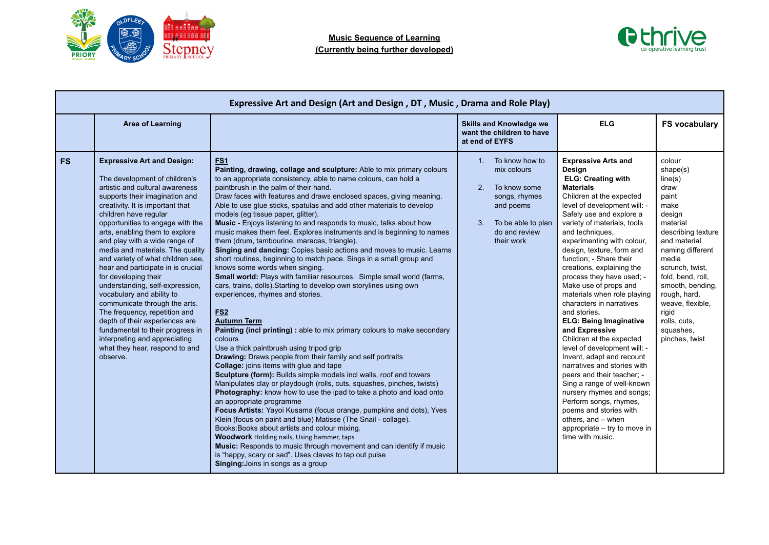



|           | Expressive Art and Design (Art and Design, DT, Music, Drama and Role Play)                                                                                                                                                                                                                                                                                                                                                                                                                                                                                                                                                                                                                                                                |                                                                                                                                                                                                                                                                                                                                                                                                                                                                                                                                                                                                                                                                                                                                                                                                                                                                                                                                                                                                                                                                                                                                                                                                                                                                                                                                                                                                                                                                                                                                                                                                                                                                                                                                                                                                                                                                                                                                     |                                                                                                                                                 |                                                                                                                                                                                                                                                                                                                                                                                                                                                                                                                                                                                                                                                                                                                                                                                                                                                                                       |                                                                                                                                                                                                                                                                                                         |  |
|-----------|-------------------------------------------------------------------------------------------------------------------------------------------------------------------------------------------------------------------------------------------------------------------------------------------------------------------------------------------------------------------------------------------------------------------------------------------------------------------------------------------------------------------------------------------------------------------------------------------------------------------------------------------------------------------------------------------------------------------------------------------|-------------------------------------------------------------------------------------------------------------------------------------------------------------------------------------------------------------------------------------------------------------------------------------------------------------------------------------------------------------------------------------------------------------------------------------------------------------------------------------------------------------------------------------------------------------------------------------------------------------------------------------------------------------------------------------------------------------------------------------------------------------------------------------------------------------------------------------------------------------------------------------------------------------------------------------------------------------------------------------------------------------------------------------------------------------------------------------------------------------------------------------------------------------------------------------------------------------------------------------------------------------------------------------------------------------------------------------------------------------------------------------------------------------------------------------------------------------------------------------------------------------------------------------------------------------------------------------------------------------------------------------------------------------------------------------------------------------------------------------------------------------------------------------------------------------------------------------------------------------------------------------------------------------------------------------|-------------------------------------------------------------------------------------------------------------------------------------------------|---------------------------------------------------------------------------------------------------------------------------------------------------------------------------------------------------------------------------------------------------------------------------------------------------------------------------------------------------------------------------------------------------------------------------------------------------------------------------------------------------------------------------------------------------------------------------------------------------------------------------------------------------------------------------------------------------------------------------------------------------------------------------------------------------------------------------------------------------------------------------------------|---------------------------------------------------------------------------------------------------------------------------------------------------------------------------------------------------------------------------------------------------------------------------------------------------------|--|
|           | <b>Area of Learning</b>                                                                                                                                                                                                                                                                                                                                                                                                                                                                                                                                                                                                                                                                                                                   |                                                                                                                                                                                                                                                                                                                                                                                                                                                                                                                                                                                                                                                                                                                                                                                                                                                                                                                                                                                                                                                                                                                                                                                                                                                                                                                                                                                                                                                                                                                                                                                                                                                                                                                                                                                                                                                                                                                                     | <b>Skills and Knowledge we</b><br>want the children to have<br>at end of EYFS                                                                   | <b>ELG</b>                                                                                                                                                                                                                                                                                                                                                                                                                                                                                                                                                                                                                                                                                                                                                                                                                                                                            | <b>FS vocabulary</b>                                                                                                                                                                                                                                                                                    |  |
| <b>FS</b> | <b>Expressive Art and Design:</b><br>The development of children's<br>artistic and cultural awareness<br>supports their imagination and<br>creativity. It is important that<br>children have regular<br>opportunities to engage with the<br>arts, enabling them to explore<br>and play with a wide range of<br>media and materials. The quality<br>and variety of what children see,<br>hear and participate in is crucial<br>for developing their<br>understanding, self-expression,<br>vocabulary and ability to<br>communicate through the arts.<br>The frequency, repetition and<br>depth of their experiences are<br>fundamental to their progress in<br>interpreting and appreciating<br>what they hear, respond to and<br>observe. | <b>ES1</b><br>Painting, drawing, collage and sculpture: Able to mix primary colours<br>to an appropriate consistency, able to name colours, can hold a<br>paintbrush in the palm of their hand.<br>Draw faces with features and draws enclosed spaces, giving meaning.<br>Able to use glue sticks, spatulas and add other materials to develop<br>models (eg tissue paper, glitter).<br>Music - Enjoys listening to and responds to music, talks about how<br>music makes them feel. Explores instruments and is beginning to names<br>them (drum, tambourine, maracas, triangle).<br>Singing and dancing: Copies basic actions and moves to music. Learns<br>short routines, beginning to match pace. Sings in a small group and<br>knows some words when singing.<br>Small world: Plays with familiar resources. Simple small world (farms,<br>cars, trains, dolls). Starting to develop own storylines using own<br>experiences, rhymes and stories.<br>FS <sub>2</sub><br><b>Autumn Term</b><br>Painting (incl printing) : able to mix primary colours to make secondary<br>colours<br>Use a thick paintbrush using tripod grip<br><b>Drawing:</b> Draws people from their family and self portraits<br><b>Collage:</b> joins items with glue and tape<br>Sculpture (form): Builds simple models incl walls, roof and towers<br>Manipulates clay or playdough (rolls, cuts, squashes, pinches, twists)<br>Photography: know how to use the ipad to take a photo and load onto<br>an appropriate programme<br>Focus Artists: Yayoi Kusama (focus orange, pumpkins and dots), Yves<br>Klein (focus on paint and blue) Matisse (The Snail - collage).<br>Books: Books about artists and colour mixing.<br><b>Woodwork Holding nails, Using hammer, taps</b><br>Music: Responds to music through movement and can identify if music<br>is "happy, scary or sad". Uses claves to tap out pulse<br>Singing: Joins in songs as a group | 1. To know how to<br>mix colours<br>2.<br>To know some<br>songs, rhymes<br>and poems<br>To be able to plan<br>3.<br>do and review<br>their work | <b>Expressive Arts and</b><br>Design<br><b>ELG: Creating with</b><br><b>Materials</b><br>Children at the expected<br>level of development will: -<br>Safely use and explore a<br>variety of materials, tools<br>and techniques.<br>experimenting with colour,<br>design, texture, form and<br>function; - Share their<br>creations, explaining the<br>process they have used: -<br>Make use of props and<br>materials when role playing<br>characters in narratives<br>and stories.<br><b>ELG: Being Imaginative</b><br>and Expressive<br>Children at the expected<br>level of development will: -<br>Invent, adapt and recount<br>narratives and stories with<br>peers and their teacher; -<br>Sing a range of well-known<br>nursery rhymes and songs;<br>Perform songs, rhymes,<br>poems and stories with<br>others, and - when<br>appropriate - try to move in<br>time with music. | colour<br>shape(s)<br>line(s)<br>draw<br>paint<br>make<br>design<br>material<br>describing texture<br>and material<br>naming different<br>media<br>scrunch, twist,<br>fold, bend, roll,<br>smooth, bending,<br>rough, hard,<br>weave, flexible,<br>rigid<br>rolls, cuts,<br>squashes,<br>pinches, twist |  |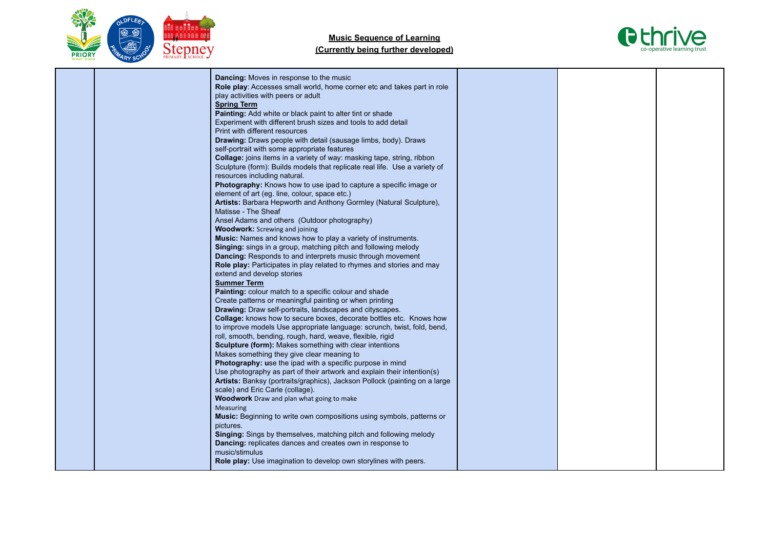



|  | Dancing: Moves in response to the music<br>Role play: Accesses small world, home corner etc and takes part in role<br>play activities with peers or adult<br><b>Spring Term</b><br>Painting: Add white or black paint to alter tint or shade<br>Experiment with different brush sizes and tools to add detail<br>Print with different resources                                                              |  |  |
|--|--------------------------------------------------------------------------------------------------------------------------------------------------------------------------------------------------------------------------------------------------------------------------------------------------------------------------------------------------------------------------------------------------------------|--|--|
|  | Drawing: Draws people with detail (sausage limbs, body). Draws<br>self-portrait with some appropriate features<br>Collage: joins items in a variety of way: masking tape, string, ribbon<br>Sculpture (form): Builds models that replicate real life. Use a variety of<br>resources including natural.<br>Photography: Knows how to use ipad to capture a specific image or                                  |  |  |
|  | element of art (eg. line, colour, space etc.)<br>Artists: Barbara Hepworth and Anthony Gormley (Natural Sculpture),<br>Matisse - The Sheaf<br>Ansel Adams and others (Outdoor photography)<br><b>Woodwork:</b> Screwing and joining<br>Music: Names and knows how to play a variety of instruments.                                                                                                          |  |  |
|  | Singing: sings in a group, matching pitch and following melody<br>Dancing: Responds to and interprets music through movement<br>Role play: Participates in play related to rhymes and stories and may<br>extend and develop stories<br><b>Summer Term</b><br>Painting: colour match to a specific colour and shade                                                                                           |  |  |
|  | Create patterns or meaningful painting or when printing<br>Drawing: Draw self-portraits, landscapes and cityscapes.<br>Collage: knows how to secure boxes, decorate bottles etc. Knows how<br>to improve models Use appropriate language: scrunch, twist, fold, bend,<br>roll, smooth, bending, rough, hard, weave, flexible, rigid                                                                          |  |  |
|  | Sculpture (form): Makes something with clear intentions<br>Makes something they give clear meaning to<br>Photography: use the ipad with a specific purpose in mind<br>Use photography as part of their artwork and explain their intention(s)<br>Artists: Banksy (portraits/graphics), Jackson Pollock (painting on a large<br>scale) and Eric Carle (collage).<br>Woodwork Draw and plan what going to make |  |  |
|  | <b>Measuring</b><br><b>Music:</b> Beginning to write own compositions using symbols, patterns or<br>pictures.<br>Singing: Sings by themselves, matching pitch and following melody<br>Dancing: replicates dances and creates own in response to<br>music/stimulus<br>Role play: Use imagination to develop own storylines with peers.                                                                        |  |  |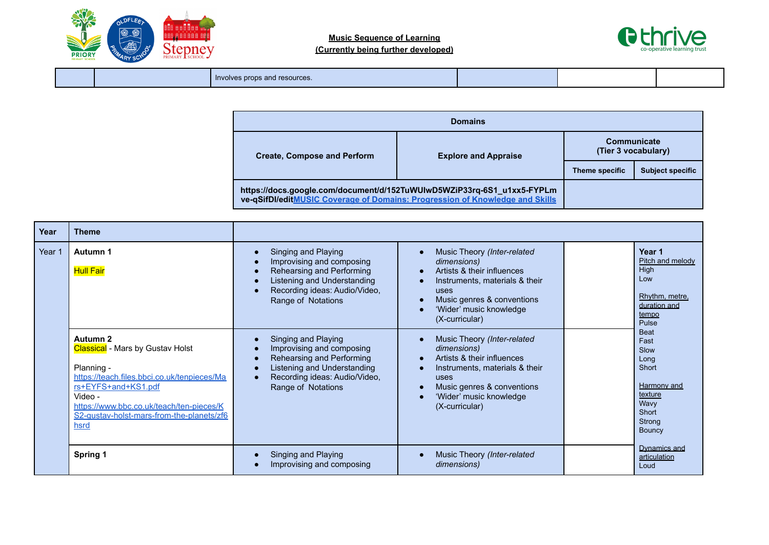



Involves props and resources.

| <b>Domains</b>                                                                                                                                         |                             |                                    |                         |
|--------------------------------------------------------------------------------------------------------------------------------------------------------|-----------------------------|------------------------------------|-------------------------|
| <b>Create, Compose and Perform</b>                                                                                                                     | <b>Explore and Appraise</b> | Communicate<br>(Tier 3 vocabulary) |                         |
|                                                                                                                                                        |                             | Theme specific                     | <b>Subject specific</b> |
| https://docs.google.com/document/d/152TuWUIwD5WZiP33rq-6S1_u1xx5-FYPLm<br>ve-qSifDI/editMUSIC Coverage of Domains: Progression of Knowledge and Skills |                             |                                    |                         |

| Year   | <b>Theme</b>                                                                                                                                                                                                                                        |                                                                                                                                                                            |                                                                                                                                                                                                            |                                                                                                                    |
|--------|-----------------------------------------------------------------------------------------------------------------------------------------------------------------------------------------------------------------------------------------------------|----------------------------------------------------------------------------------------------------------------------------------------------------------------------------|------------------------------------------------------------------------------------------------------------------------------------------------------------------------------------------------------------|--------------------------------------------------------------------------------------------------------------------|
| Year 1 | Autumn 1<br><b>Hull Fair</b>                                                                                                                                                                                                                        | Singing and Playing<br>Improvising and composing<br>Rehearsing and Performing<br><b>Listening and Understanding</b><br>Recording ideas: Audio/Video,<br>Range of Notations | Music Theory (Inter-related<br>dimensions)<br>Artists & their influences<br>Instruments, materials & their<br>uses<br>Music genres & conventions<br>'Wider' music knowledge<br>(X-curricular)              | Year 1<br>Pitch and melody<br>High<br>Low<br>Rhythm, metre,<br>duration and<br>tempo<br>Pulse                      |
|        | Autumn 2<br><b>Classical</b> - Mars by Gustav Holst<br>Planning -<br>https://teach.files.bbci.co.uk/tenpieces/Ma<br>rs+EYFS+and+KS1.pdf<br>Video -<br>https://www.bbc.co.uk/teach/ten-pieces/K<br>S2-gustav-holst-mars-from-the-planets/zf6<br>hsrd | Singing and Playing<br>Improvising and composing<br>Rehearsing and Performing<br>Listening and Understanding<br>Recording ideas: Audio/Video,<br>Range of Notations        | Music Theory (Inter-related<br>dimensions)<br>Artists & their influences<br>$\bullet$<br>Instruments, materials & their<br>uses<br>Music genres & conventions<br>'Wider' music knowledge<br>(X-curricular) | <b>Beat</b><br>Fast<br>Slow<br>Long<br>Short<br><b>Harmony</b> and<br>texture<br>Wavy<br>Short<br>Strong<br>Bouncy |
|        | Spring 1                                                                                                                                                                                                                                            | Singing and Playing<br>Improvising and composing                                                                                                                           | Music Theory (Inter-related<br>dimensions)                                                                                                                                                                 | Dynamics and<br>articulation<br>Loud                                                                               |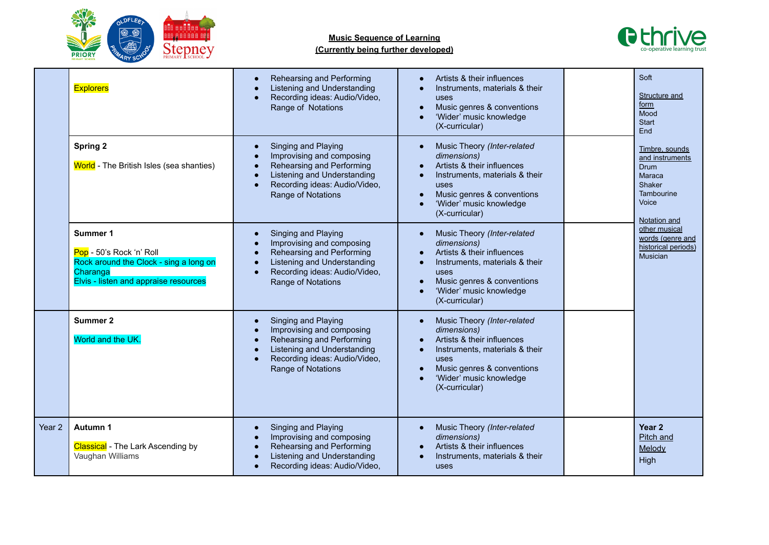

# **Music Sequence of Learning**



| (Currently being further developed) |  |  |  |  |
|-------------------------------------|--|--|--|--|
|-------------------------------------|--|--|--|--|

|                   | <b>Explorers</b>                                                                                                                           | Rehearsing and Performing<br>$\bullet$<br>Listening and Understanding<br>$\bullet$<br>Recording ideas: Audio/Video,<br>$\bullet$<br>Range of Notations                                                                               | Artists & their influences<br>Instruments, materials & their<br>uses<br>Music genres & conventions<br>$\bullet$<br>'Wider' music knowledge<br>(X-curricular)                                                      | Soft<br>Structure and<br>form<br>Mood<br><b>Start</b><br>End                                                |
|-------------------|--------------------------------------------------------------------------------------------------------------------------------------------|--------------------------------------------------------------------------------------------------------------------------------------------------------------------------------------------------------------------------------------|-------------------------------------------------------------------------------------------------------------------------------------------------------------------------------------------------------------------|-------------------------------------------------------------------------------------------------------------|
|                   | <b>Spring 2</b><br>World - The British Isles (sea shanties)                                                                                | Singing and Playing<br>$\bullet$<br>Improvising and composing<br>$\bullet$<br>Rehearsing and Performing<br>$\bullet$<br>Listening and Understanding<br>$\bullet$<br>Recording ideas: Audio/Video,<br>$\bullet$<br>Range of Notations | Music Theory (Inter-related<br>dimensions)<br>Artists & their influences<br>Instruments, materials & their<br>$\bullet$<br><b>USes</b><br>Music genres & conventions<br>'Wider' music knowledge<br>(X-curricular) | Timbre, sounds<br>and instruments<br><b>Drum</b><br>Maraca<br>Shaker<br>Tambourine<br>Voice<br>Notation and |
|                   | <b>Summer 1</b><br>Pop - 50's Rock 'n' Roll<br>Rock around the Clock - sing a long on<br>Charanga<br>Elvis - listen and appraise resources | Singing and Playing<br>$\bullet$<br>Improvising and composing<br>$\bullet$<br>Rehearsing and Performing<br>$\bullet$<br>Listening and Understanding<br>$\bullet$<br>Recording ideas: Audio/Video,<br>$\bullet$<br>Range of Notations | Music Theory (Inter-related<br>dimensions)<br>Artists & their influences<br>Instruments, materials & their<br>$\bullet$<br>uses<br>Music genres & conventions<br>'Wider' music knowledge<br>(X-curricular)        | other musical<br>words (genre and<br>historical periods)<br><b>Musician</b>                                 |
|                   | Summer 2<br>World and the UK.                                                                                                              | Singing and Playing<br>$\bullet$<br>Improvising and composing<br>$\bullet$<br>Rehearsing and Performing<br>$\bullet$<br>Listening and Understanding<br>$\bullet$<br>Recording ideas: Audio/Video,<br>$\bullet$<br>Range of Notations | Music Theory (Inter-related<br>dimensions)<br>Artists & their influences<br>Instruments, materials & their<br>$\bullet$<br>uses<br>Music genres & conventions<br>'Wider' music knowledge<br>(X-curricular)        |                                                                                                             |
| Year <sub>2</sub> | Autumn 1<br><b>Classical</b> - The Lark Ascending by<br>Vaughan Williams                                                                   | Singing and Playing<br>$\bullet$<br>Improvising and composing<br>$\bullet$<br>Rehearsing and Performing<br>$\bullet$<br>Listening and Understanding<br>$\bullet$<br>Recording ideas: Audio/Video,<br>$\bullet$                       | Music Theory (Inter-related<br>dimensions)<br>Artists & their influences<br>Instruments, materials & their<br>uses                                                                                                | Year 2<br>Pitch and<br>Melody<br>High                                                                       |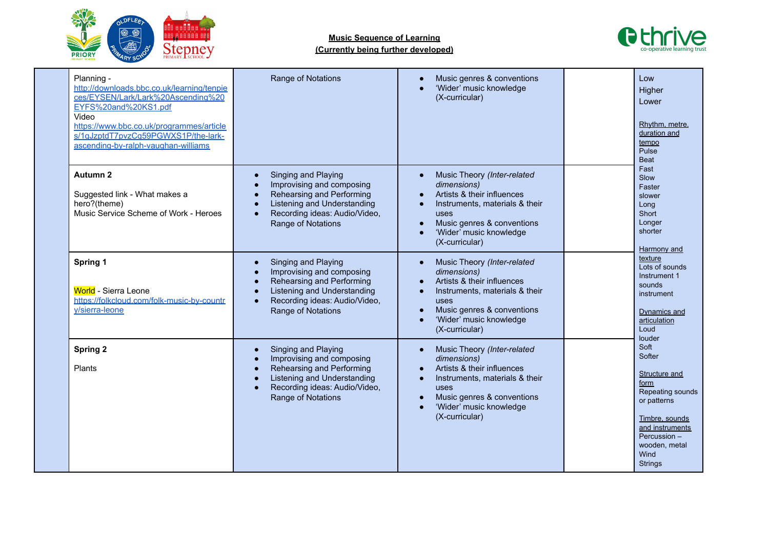



| Planning -<br>http://downloads.bbc.co.uk/learning/tenpie<br>ces/EYSEN/Lark/Lark%20Ascending%20<br>EYFS%20and%20KS1.pdf<br>Video<br>https://www.bbc.co.uk/programmes/article<br>s/1qJzptdT7pvzCq59PGWXS1P/the-lark-<br>ascending-by-ralph-vaughan-williams | Range of Notations                                                                                                                                                               | Music genres & conventions<br>'Wider' music knowledge<br>(X-curricular)                                                                                                                                    | Low<br>Higher<br>Lower<br>Rhythm, metre,<br>duration and<br>tempo<br>Pulse<br><b>Beat</b>                                                                                            |
|-----------------------------------------------------------------------------------------------------------------------------------------------------------------------------------------------------------------------------------------------------------|----------------------------------------------------------------------------------------------------------------------------------------------------------------------------------|------------------------------------------------------------------------------------------------------------------------------------------------------------------------------------------------------------|--------------------------------------------------------------------------------------------------------------------------------------------------------------------------------------|
| Autumn 2<br>Suggested link - What makes a<br>hero?(theme)<br>Music Service Scheme of Work - Heroes                                                                                                                                                        | Singing and Playing<br>Improvising and composing<br>Rehearsing and Performing<br>Listening and Understanding<br>Recording ideas: Audio/Video,<br>$\bullet$<br>Range of Notations | Music Theory (Inter-related<br>dimensions)<br>Artists & their influences<br>Instruments, materials & their<br>$\bullet$<br>uses<br>Music genres & conventions<br>'Wider' music knowledge<br>(X-curricular) | Fast<br>Slow<br>Faster<br>slower<br>Long<br>Short<br>Longer<br>shorter<br>Harmony and                                                                                                |
| Spring 1<br><b>World</b> - Sierra Leone<br>https://folkcloud.com/folk-music-by-countr<br>y/sierra-leone                                                                                                                                                   | Singing and Playing<br>Improvising and composing<br>Rehearsing and Performing<br>Listening and Understanding<br>Recording ideas: Audio/Video,<br>$\bullet$<br>Range of Notations | Music Theory (Inter-related<br>dimensions)<br>Artists & their influences<br>Instruments, materials & their<br>$\bullet$<br>uses<br>Music genres & conventions<br>'Wider' music knowledge<br>(X-curricular) | texture<br>Lots of sounds<br>Instrument 1<br>sounds<br>instrument<br>Dynamics and<br>articulation<br>Loud                                                                            |
| <b>Spring 2</b><br>Plants                                                                                                                                                                                                                                 | Singing and Playing<br>Improvising and composing<br>Rehearsing and Performing<br>Listening and Understanding<br>Recording ideas: Audio/Video,<br>Range of Notations              | Music Theory (Inter-related<br>dimensions)<br>Artists & their influences<br>Instruments, materials & their<br>$\bullet$<br>uses<br>Music genres & conventions<br>'Wider' music knowledge<br>(X-curricular) | louder<br>Soft<br>Softer<br>Structure and<br>form<br>Repeating sounds<br>or patterns<br>Timbre, sounds<br>and instruments<br>Percussion -<br>wooden, metal<br>Wind<br><b>Strings</b> |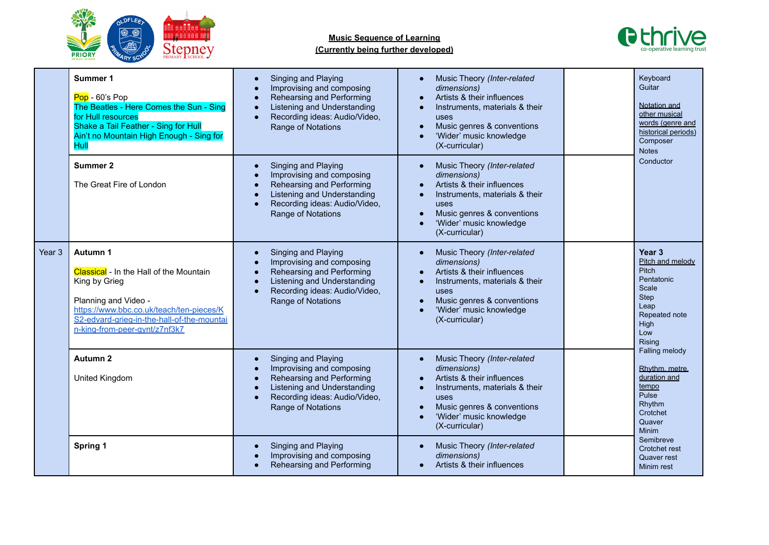



|                   | Summer 1<br>Pop - 60's Pop<br>The Beatles - Here Comes the Sun - Sing<br>for Hull resources<br>Shake a Tail Feather - Sing for Hull<br>Ain't no Mountain High Enough - Sing for<br>Hull                                        | Singing and Playing<br>$\bullet$<br>Improvising and composing<br>Rehearsing and Performing<br>Listening and Understanding<br>$\bullet$<br>Recording ideas: Audio/Video,<br>$\bullet$<br>Range of Notations              | Music Theory (Inter-related<br>dimensions)<br>Artists & their influences<br>$\bullet$<br>Instruments, materials & their<br>$\bullet$<br>uses<br>Music genres & conventions<br>'Wider' music knowledge<br>(X-curricular)              |  | Keyboard<br>Guitar<br>Notation and<br>other musical<br>words (genre and<br>historical periods)<br>Composer<br><b>Notes</b>                                                    |
|-------------------|--------------------------------------------------------------------------------------------------------------------------------------------------------------------------------------------------------------------------------|-------------------------------------------------------------------------------------------------------------------------------------------------------------------------------------------------------------------------|--------------------------------------------------------------------------------------------------------------------------------------------------------------------------------------------------------------------------------------|--|-------------------------------------------------------------------------------------------------------------------------------------------------------------------------------|
|                   | <b>Summer 2</b><br>The Great Fire of London                                                                                                                                                                                    | Singing and Playing<br>$\bullet$<br>Improvising and composing<br>Rehearsing and Performing<br>$\bullet$<br>Listening and Understanding<br>$\bullet$<br>Recording ideas: Audio/Video,<br>$\bullet$<br>Range of Notations | Music Theory (Inter-related<br>$\bullet$<br>dimensions)<br>Artists & their influences<br>$\bullet$<br>Instruments, materials & their<br>uses<br>Music genres & conventions<br>'Wider' music knowledge<br>$\bullet$<br>(X-curricular) |  | Conductor                                                                                                                                                                     |
| Year <sub>3</sub> | Autumn 1<br><b>Classical</b> - In the Hall of the Mountain<br>King by Grieg<br>Planning and Video -<br>https://www.bbc.co.uk/teach/ten-pieces/K<br>S2-edvard-grieg-in-the-hall-of-the-mountai<br>n-king-from-peer-gynt/z7nf3k7 | Singing and Playing<br>$\bullet$<br>Improvising and composing<br>Rehearsing and Performing<br>$\bullet$<br>Listening and Understanding<br>$\bullet$<br>Recording ideas: Audio/Video,<br>$\bullet$<br>Range of Notations | Music Theory (Inter-related<br>$\bullet$<br>dimensions)<br>Artists & their influences<br>$\bullet$<br>Instruments, materials & their<br>$\bullet$<br>uses<br>Music genres & conventions<br>'Wider' music knowledge<br>(X-curricular) |  | Year <sub>3</sub><br>Pitch and melody<br><b>Pitch</b><br>Pentatonic<br>Scale<br><b>Step</b><br>Leap<br>Repeated note<br>High<br>Low<br>Rising                                 |
|                   | Autumn <sub>2</sub><br>United Kingdom                                                                                                                                                                                          | Singing and Playing<br>$\bullet$<br>Improvising and composing<br>$\bullet$<br>Rehearsing and Performing<br>$\bullet$<br>Listening and Understanding<br>Recording ideas: Audio/Video,<br>$\bullet$<br>Range of Notations | Music Theory (Inter-related<br>$\bullet$<br>dimensions)<br>Artists & their influences<br>Instruments, materials & their<br>$\bullet$<br>uses<br>Music genres & conventions<br>'Wider' music knowledge<br>(X-curricular)              |  | Falling melody<br>Rhythm. metre.<br>duration and<br>tempo<br>Pulse<br>Rhythm<br>Crotchet<br>Quaver<br><b>Minim</b><br>Semibreve<br>Crotchet rest<br>Quaver rest<br>Minim rest |
|                   | Spring 1                                                                                                                                                                                                                       | Singing and Playing<br>Improvising and composing<br>Rehearsing and Performing                                                                                                                                           | Music Theory (Inter-related<br>$\bullet$<br>dimensions)<br>Artists & their influences                                                                                                                                                |  |                                                                                                                                                                               |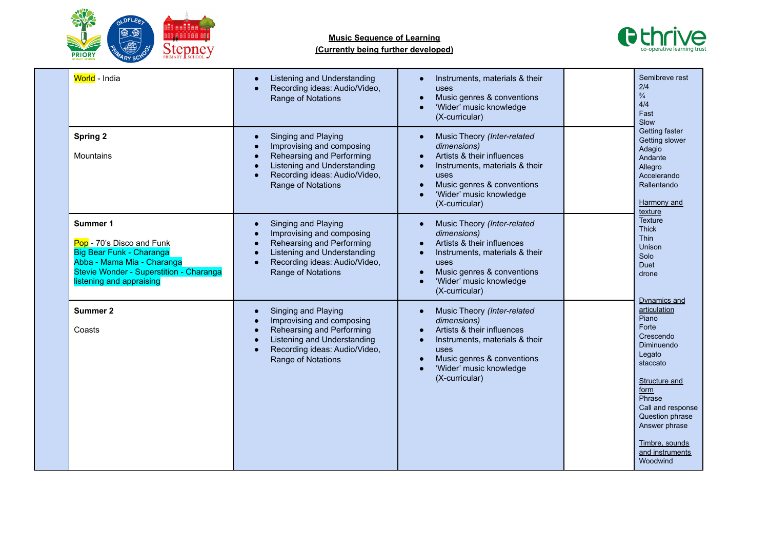



Woodwind

| World - India                                                                                                                                                          | Listening and Understanding<br>Recording ideas: Audio/Video,<br>$\bullet$<br>Range of Notations                                                                                                                         | Instruments, materials & their<br>uses<br>Music genres & conventions<br>'Wider' music knowledge<br>(X-curricular)                                                                                          | Semibreve rest<br>2/4<br>$\frac{3}{4}$<br>4/4<br>Fast<br>Slow                                                                                                                                                                    |
|------------------------------------------------------------------------------------------------------------------------------------------------------------------------|-------------------------------------------------------------------------------------------------------------------------------------------------------------------------------------------------------------------------|------------------------------------------------------------------------------------------------------------------------------------------------------------------------------------------------------------|----------------------------------------------------------------------------------------------------------------------------------------------------------------------------------------------------------------------------------|
| <b>Spring 2</b><br>Mountains                                                                                                                                           | Singing and Playing<br>$\bullet$<br>Improvising and composing<br>Rehearsing and Performing<br>Listening and Understanding<br>Recording ideas: Audio/Video,<br>$\bullet$<br>Range of Notations                           | Music Theory (Inter-related<br>dimensions)<br>Artists & their influences<br>Instruments, materials & their<br>uses<br>Music genres & conventions<br>'Wider' music knowledge<br>(X-curricular)              | Getting faster<br>Getting slower<br>Adagio<br>Andante<br>Allegro<br>Accelerando<br>Rallentando<br>Harmony and<br>texture                                                                                                         |
| Summer 1<br>Pop - 70's Disco and Funk<br>Big Bear Funk - Charanga<br>Abba - Mama Mia - Charanga<br>Stevie Wonder - Superstition - Charanga<br>listening and appraising | Singing and Playing<br>$\bullet$<br>Improvising and composing<br>Rehearsing and Performing<br>$\bullet$<br>Listening and Understanding<br>$\bullet$<br>Recording ideas: Audio/Video,<br>$\bullet$<br>Range of Notations | Music Theory (Inter-related<br>dimensions)<br>Artists & their influences<br>Instruments, materials & their<br>uses<br>Music genres & conventions<br>'Wider' music knowledge<br>(X-curricular)              | <b>Texture</b><br><b>Thick</b><br><b>Thin</b><br>Unison<br>Solo<br>Duet<br>drone                                                                                                                                                 |
| <b>Summer 2</b><br>Coasts                                                                                                                                              | Singing and Playing<br>$\bullet$<br>Improvising and composing<br>Rehearsing and Performing<br>$\bullet$<br>Listening and Understanding<br>Recording ideas: Audio/Video,<br>$\bullet$<br>Range of Notations              | Music Theory (Inter-related<br>dimensions)<br>Artists & their influences<br>$\bullet$<br>Instruments, materials & their<br>uses<br>Music genres & conventions<br>'Wider' music knowledge<br>(X-curricular) | Dynamics and<br>articulation<br>Piano<br>Forte<br>Crescendo<br>Diminuendo<br>Legato<br>staccato<br>Structure and<br>form<br>Phrase<br>Call and response<br>Question phrase<br>Answer phrase<br>Timbre, sounds<br>and instruments |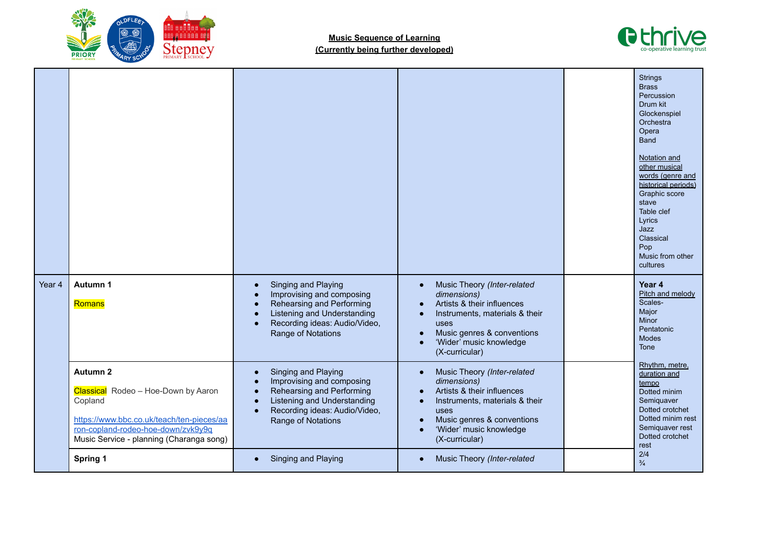



|        |                                                                                                                                                                                                  |                                                                                                                                                                                                                         |                                                                                                                                                                                                                         | <b>Strings</b><br><b>Brass</b><br>Percussion<br>Drum kit<br>Glockenspiel<br>Orchestra<br>Opera<br><b>Band</b><br>Notation and<br>other musical<br>words (genre and<br>historical periods)<br>Graphic score<br>stave<br>Table clef<br>Lyrics<br>Jazz<br>Classical<br>Pop<br>Music from other<br>cultures |
|--------|--------------------------------------------------------------------------------------------------------------------------------------------------------------------------------------------------|-------------------------------------------------------------------------------------------------------------------------------------------------------------------------------------------------------------------------|-------------------------------------------------------------------------------------------------------------------------------------------------------------------------------------------------------------------------|---------------------------------------------------------------------------------------------------------------------------------------------------------------------------------------------------------------------------------------------------------------------------------------------------------|
| Year 4 | Autumn 1<br>Romans                                                                                                                                                                               | Singing and Playing<br>$\bullet$<br>Improvising and composing<br>Rehearsing and Performing<br>$\bullet$<br>Listening and Understanding<br>Recording ideas: Audio/Video,<br>$\bullet$<br>Range of Notations              | Music Theory (Inter-related<br>$\bullet$<br>dimensions)<br>Artists & their influences<br>Instruments, materials & their<br>$\bullet$<br>uses<br>Music genres & conventions<br>'Wider' music knowledge<br>(X-curricular) | Year 4<br>Pitch and melody<br>Scales-<br>Major<br><b>Minor</b><br>Pentatonic<br><b>Modes</b><br>Tone                                                                                                                                                                                                    |
|        | <b>Autumn 2</b><br>Classical Rodeo - Hoe-Down by Aaron<br>Copland<br>https://www.bbc.co.uk/teach/ten-pieces/aa<br>ron-copland-rodeo-hoe-down/zyk9v9q<br>Music Service - planning (Charanga song) | Singing and Playing<br>$\bullet$<br>Improvising and composing<br>$\bullet$<br>Rehearsing and Performing<br>$\bullet$<br>Listening and Understanding<br>$\bullet$<br>Recording ideas: Audio/Video,<br>Range of Notations | Music Theory (Inter-related<br>$\bullet$<br>dimensions)<br>Artists & their influences<br>Instruments, materials & their<br>$\bullet$<br>uses<br>Music genres & conventions<br>'Wider' music knowledge<br>(X-curricular) | Rhythm, metre,<br>duration and<br>tempo<br>Dotted minim<br>Semiquaver<br>Dotted crotchet<br>Dotted minim rest<br>Semiquaver rest<br>Dotted crotchet<br>rest                                                                                                                                             |
|        | Spring 1                                                                                                                                                                                         | Singing and Playing                                                                                                                                                                                                     | Music Theory (Inter-related<br>$\bullet$                                                                                                                                                                                | 2/4<br>$\frac{3}{4}$                                                                                                                                                                                                                                                                                    |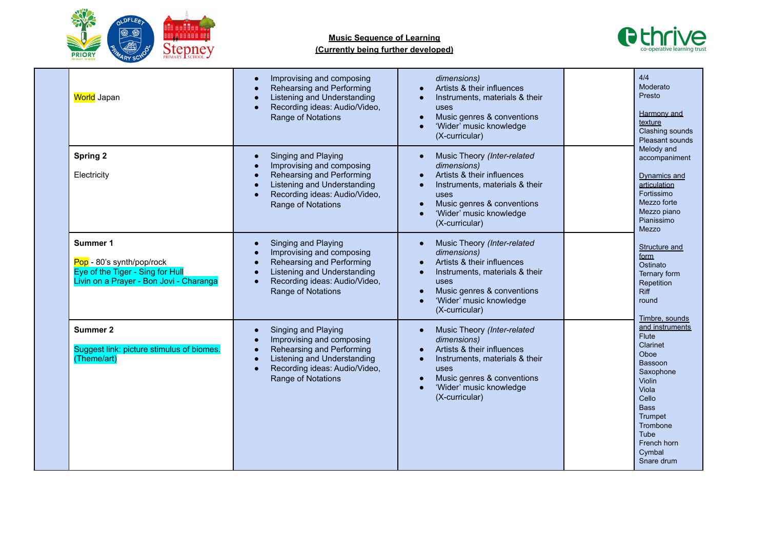



| World Japan                                                                                                          | Improvising and composing<br>Rehearsing and Performing<br>Listening and Understanding<br>Recording ideas: Audio/Video,<br>$\bullet$<br>Range of Notations                                                               | dimensions)<br>Artists & their influences<br>Instruments, materials & their<br>uses<br>Music genres & conventions<br>$\bullet$<br>'Wider' music knowledge<br>(X-curricular)                                             | 4/4<br>Moderato<br>Presto<br>Harmony and<br>texture<br>Clashing sounds<br>Pleasant sounds                                                                                                                  |
|----------------------------------------------------------------------------------------------------------------------|-------------------------------------------------------------------------------------------------------------------------------------------------------------------------------------------------------------------------|-------------------------------------------------------------------------------------------------------------------------------------------------------------------------------------------------------------------------|------------------------------------------------------------------------------------------------------------------------------------------------------------------------------------------------------------|
| <b>Spring 2</b><br>Electricity                                                                                       | Singing and Playing<br>$\bullet$<br>Improvising and composing<br>Rehearsing and Performing<br>$\bullet$<br>Listening and Understanding<br>Recording ideas: Audio/Video,<br>$\bullet$<br>Range of Notations              | Music Theory (Inter-related<br>dimensions)<br>Artists & their influences<br>Instruments, materials & their<br>uses<br>Music genres & conventions<br>$\bullet$<br>'Wider' music knowledge<br>$\bullet$<br>(X-curricular) | Melody and<br>accompaniment<br>Dynamics and<br>articulation<br>Fortissimo<br>Mezzo forte<br>Mezzo piano<br>Pianissimo<br>Mezzo                                                                             |
| Summer 1<br>Pop - 80's synth/pop/rock<br>Eye of the Tiger - Sing for Hull<br>Livin on a Prayer - Bon Jovi - Charanga | Singing and Playing<br>$\bullet$<br>Improvising and composing<br>Rehearsing and Performing<br>$\bullet$<br>Listening and Understanding<br>$\bullet$<br>Recording ideas: Audio/Video,<br>$\bullet$<br>Range of Notations | Music Theory (Inter-related<br>$\bullet$<br>dimensions)<br>Artists & their influences<br>Instruments, materials & their<br>uses<br>Music genres & conventions<br>'Wider' music knowledge<br>(X-curricular)              | <b>Structure and</b><br>form<br>Ostinato<br>Ternary form<br>Repetition<br><b>Riff</b><br>round<br>Timbre, sounds                                                                                           |
| Summer 2<br>Suggest link: picture stimulus of biomes.<br>(Theme/art)                                                 | Singing and Playing<br>$\bullet$<br>Improvising and composing<br>Rehearsing and Performing<br>$\bullet$<br>Listening and Understanding<br>Recording ideas: Audio/Video,<br>$\bullet$<br>Range of Notations              | Music Theory (Inter-related<br>$\bullet$<br>dimensions)<br>Artists & their influences<br>Instruments, materials & their<br>$\bullet$<br>uses<br>Music genres & conventions<br>'Wider' music knowledge<br>(X-curricular) | and instruments<br><b>Flute</b><br><b>Clarinet</b><br>Oboe<br>Bassoon<br>Saxophone<br><b>Violin</b><br>Viola<br>Cello<br><b>Bass</b><br>Trumpet<br>Trombone<br>Tube<br>French horn<br>Cymbal<br>Snare drum |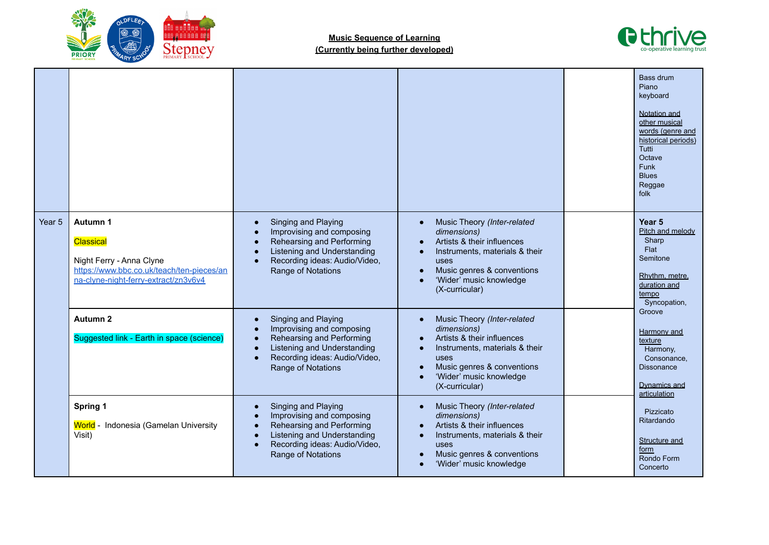



|        |                                                                                                                                        |                                                                                                                                                                                                                                      |                                                                                                                                                                                                                         |  | <b>Bass drum</b><br>Piano<br>keyboard<br>Notation and<br>other musical<br>words (genre and<br>historical periods)<br>Tutti<br>Octave<br><b>Funk</b><br><b>Blues</b><br>Reggae<br>folk                                                                                                                                                  |
|--------|----------------------------------------------------------------------------------------------------------------------------------------|--------------------------------------------------------------------------------------------------------------------------------------------------------------------------------------------------------------------------------------|-------------------------------------------------------------------------------------------------------------------------------------------------------------------------------------------------------------------------|--|----------------------------------------------------------------------------------------------------------------------------------------------------------------------------------------------------------------------------------------------------------------------------------------------------------------------------------------|
| Year 5 | Autumn 1<br>Classical<br>Night Ferry - Anna Clyne<br>https://www.bbc.co.uk/teach/ten-pieces/an<br>na-clyne-night-ferry-extract/zn3v6v4 | Singing and Playing<br>$\bullet$<br>Improvising and composing<br>Rehearsing and Performing<br>$\bullet$<br>Listening and Understanding<br>$\bullet$<br>Recording ideas: Audio/Video,<br>Range of Notations                           | Music Theory (Inter-related<br>$\bullet$<br>dimensions)<br>Artists & their influences<br>Instruments, materials & their<br>$\bullet$<br>uses<br>Music genres & conventions<br>'Wider' music knowledge<br>(X-curricular) |  | Year <sub>5</sub><br>Pitch and melody<br>Sharp<br>Flat<br>Semitone<br>Rhythm, metre,<br>duration and<br>tempo<br>Syncopation,<br>Groove<br>Harmony and<br>texture<br>Harmony,<br>Consonance,<br><b>Dissonance</b><br>Dynamics and<br>articulation<br>Pizzicato<br>Ritardando<br>Structure and<br><u>form</u><br>Rondo Form<br>Concerto |
|        | Autumn <sub>2</sub><br>Suggested link - Earth in space (science)                                                                       | Singing and Playing<br>$\bullet$<br>Improvising and composing<br>$\bullet$<br>Rehearsing and Performing<br>$\bullet$<br>Listening and Understanding<br>$\bullet$<br>Recording ideas: Audio/Video,<br>$\bullet$<br>Range of Notations | Music Theory (Inter-related<br>$\bullet$<br>dimensions)<br>Artists & their influences<br>Instruments, materials & their<br>$\bullet$<br>uses<br>Music genres & conventions<br>'Wider' music knowledge<br>(X-curricular) |  |                                                                                                                                                                                                                                                                                                                                        |
|        | Spring 1<br>World - Indonesia (Gamelan University<br>Visit)                                                                            | Singing and Playing<br>$\bullet$<br>Improvising and composing<br>$\bullet$<br>Rehearsing and Performing<br>$\bullet$<br>Listening and Understanding<br>$\bullet$<br>Recording ideas: Audio/Video,<br>$\bullet$<br>Range of Notations | Music Theory (Inter-related<br>$\bullet$<br>dimensions)<br>Artists & their influences<br>Instruments, materials & their<br>$\bullet$<br>uses<br>Music genres & conventions<br>'Wider' music knowledge                   |  |                                                                                                                                                                                                                                                                                                                                        |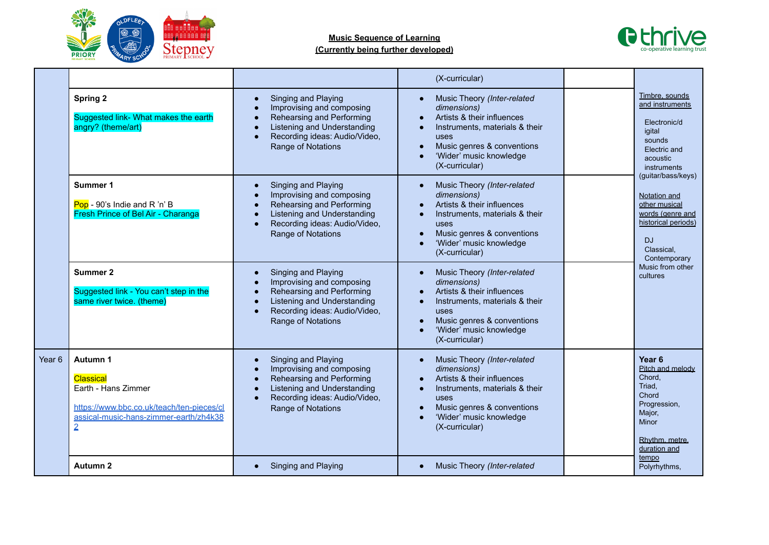



|        |                                                                                                                                                              |                                                                                                                                                                                                                                      | (X-curricular)                                                                                                                                                                                |  |                                                                                                                                                                           |
|--------|--------------------------------------------------------------------------------------------------------------------------------------------------------------|--------------------------------------------------------------------------------------------------------------------------------------------------------------------------------------------------------------------------------------|-----------------------------------------------------------------------------------------------------------------------------------------------------------------------------------------------|--|---------------------------------------------------------------------------------------------------------------------------------------------------------------------------|
|        | <b>Spring 2</b><br>Suggested link- What makes the earth<br>angry? (theme/art)                                                                                | Singing and Playing<br>$\bullet$<br>Improvising and composing<br>$\bullet$<br>Rehearsing and Performing<br>$\bullet$<br>Listening and Understanding<br>$\bullet$<br>Recording ideas: Audio/Video,<br>$\bullet$<br>Range of Notations | Music Theory (Inter-related<br>dimensions)<br>Artists & their influences<br>Instruments, materials & their<br>uses<br>Music genres & conventions<br>'Wider' music knowledge<br>(X-curricular) |  | Timbre, sounds<br>and instruments<br>Electronic/d<br>igital<br>sounds<br>Electric and<br>acoustic<br>instruments                                                          |
|        | Summer 1<br>Pop - 90's Indie and R 'n' B<br>Fresh Prince of Bel Air - Charanga                                                                               | Singing and Playing<br>$\bullet$<br>Improvising and composing<br>$\bullet$<br>Rehearsing and Performing<br>$\bullet$<br>Listening and Understanding<br>$\bullet$<br>Recording ideas: Audio/Video,<br>$\bullet$<br>Range of Notations | Music Theory (Inter-related<br>dimensions)<br>Artists & their influences<br>Instruments, materials & their<br>uses<br>Music genres & conventions<br>'Wider' music knowledge<br>(X-curricular) |  | (guitar/bass/keys)<br>Notation and<br>other musical<br>words (genre and<br>historical periods)<br><b>DJ</b><br>Classical.<br>Contemporary<br>Music from other<br>cultures |
|        | <b>Summer 2</b><br>Suggested link - You can't step in the<br>same river twice. (theme)                                                                       | Singing and Playing<br>$\bullet$<br>Improvising and composing<br>$\bullet$<br>Rehearsing and Performing<br>$\bullet$<br>Listening and Understanding<br>$\bullet$<br>Recording ideas: Audio/Video,<br>$\bullet$<br>Range of Notations | Music Theory (Inter-related<br>dimensions)<br>Artists & their influences<br>Instruments, materials & their<br>uses<br>Music genres & conventions<br>'Wider' music knowledge<br>(X-curricular) |  |                                                                                                                                                                           |
| Year 6 | Autumn 1<br><b>Classical</b><br>Earth - Hans Zimmer<br>https://www.bbc.co.uk/teach/ten-pieces/cl<br>assical-music-hans-zimmer-earth/zh4k38<br>$\overline{2}$ | Singing and Playing<br>$\bullet$<br>Improvising and composing<br>$\bullet$<br>Rehearsing and Performing<br>$\bullet$<br>Listening and Understanding<br>$\bullet$<br>Recording ideas: Audio/Video,<br>$\bullet$<br>Range of Notations | Music Theory (Inter-related<br>dimensions)<br>Artists & their influences<br>Instruments, materials & their<br>uses<br>Music genres & conventions<br>'Wider' music knowledge<br>(X-curricular) |  | Year <sub>6</sub><br>Pitch and melody<br>Chord.<br>Triad.<br>Chord<br>Progression,<br>Major,<br><b>Minor</b><br>Rhythm, metre.<br>duration and                            |
|        | Autumn <sub>2</sub>                                                                                                                                          | Singing and Playing                                                                                                                                                                                                                  | Music Theory (Inter-related<br>$\bullet$                                                                                                                                                      |  | tempo<br>Polyrhythms,                                                                                                                                                     |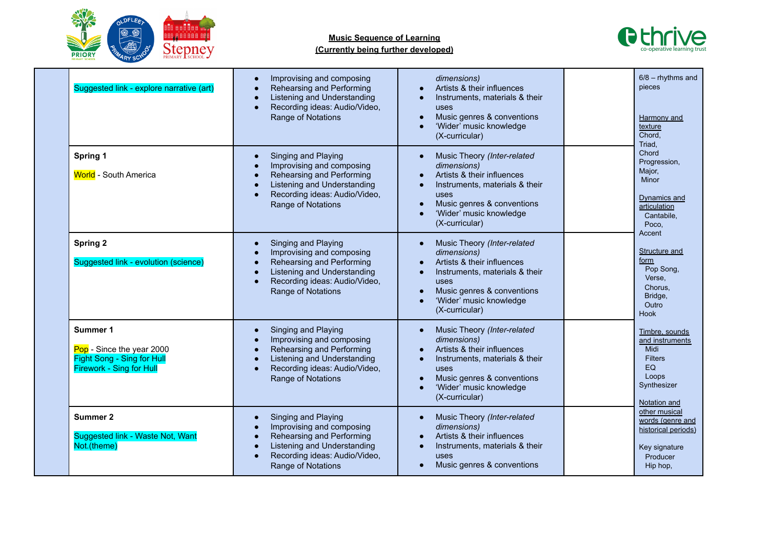



| Suggested link - explore narrative (art)                                                               | Improvising and composing<br>$\bullet$<br>Rehearsing and Performing<br>$\bullet$<br>Listening and Understanding<br>$\bullet$<br>Recording ideas: Audio/Video,<br>$\bullet$<br>Range of Notations                                     | dimensions)<br>Artists & their influences<br>$\bullet$<br>Instruments, materials & their<br>$\bullet$<br>uses<br>Music genres & conventions<br>$\bullet$<br>'Wider' music knowledge<br>(X-curricular)                                                          | $6/8$ – rhythms and<br>pieces<br>Harmony and<br>texture<br>Chord.<br>Triad,                                 |
|--------------------------------------------------------------------------------------------------------|--------------------------------------------------------------------------------------------------------------------------------------------------------------------------------------------------------------------------------------|----------------------------------------------------------------------------------------------------------------------------------------------------------------------------------------------------------------------------------------------------------------|-------------------------------------------------------------------------------------------------------------|
| Spring 1<br><b>World</b> - South America                                                               | Singing and Playing<br>$\bullet$<br>Improvising and composing<br>$\bullet$<br>Rehearsing and Performing<br>$\bullet$<br>Listening and Understanding<br>$\bullet$<br>Recording ideas: Audio/Video,<br>$\bullet$<br>Range of Notations | Music Theory (Inter-related<br>$\bullet$<br>dimensions)<br>Artists & their influences<br>$\bullet$<br>Instruments, materials & their<br>$\bullet$<br>uses<br>Music genres & conventions<br>$\bullet$<br>'Wider' music knowledge<br>(X-curricular)              | Chord<br>Progression,<br>Major,<br><b>Minor</b><br>Dynamics and<br>articulation<br>Cantabile.<br>Poco,      |
| <b>Spring 2</b><br>Suggested link - evolution (science)                                                | Singing and Playing<br>$\bullet$<br>Improvising and composing<br>$\bullet$<br>Rehearsing and Performing<br>$\bullet$<br>Listening and Understanding<br>$\bullet$<br>Recording ideas: Audio/Video,<br>$\bullet$<br>Range of Notations | Music Theory (Inter-related<br>$\bullet$<br>dimensions)<br>Artists & their influences<br>$\bullet$<br>Instruments, materials & their<br>$\bullet$<br>uses<br>Music genres & conventions<br>$\bullet$<br>'Wider' music knowledge<br>(X-curricular)              | Accent<br>Structure and<br><u>form</u><br>Pop Song,<br>Verse,<br>Chorus.<br>Bridge,<br>Outro<br><b>Hook</b> |
| Summer 1<br>Pop - Since the year 2000<br>Fight Song - Sing for Hull<br><b>Firework - Sing for Hull</b> | Singing and Playing<br>$\bullet$<br>Improvising and composing<br>$\bullet$<br>Rehearsing and Performing<br>$\bullet$<br>Listening and Understanding<br>$\bullet$<br>Recording ideas: Audio/Video,<br>$\bullet$<br>Range of Notations | Music Theory (Inter-related<br>$\bullet$<br>dimensions)<br>Artists & their influences<br>$\bullet$<br>Instruments, materials & their<br>$\bullet$<br>uses<br>Music genres & conventions<br>$\bullet$<br>'Wider' music knowledge<br>$\bullet$<br>(X-curricular) | Timbre, sounds<br>and instruments<br>Midi<br><b>Filters</b><br>EQ<br>Loops<br>Synthesizer<br>Notation and   |
| Summer 2<br>Suggested link - Waste Not, Want<br>Not.(theme)                                            | Singing and Playing<br>$\bullet$<br>Improvising and composing<br>$\bullet$<br>Rehearsing and Performing<br>$\bullet$<br>Listening and Understanding<br>$\bullet$<br>Recording ideas: Audio/Video,<br>$\bullet$<br>Range of Notations | Music Theory (Inter-related<br>$\bullet$<br>dimensions)<br>Artists & their influences<br>$\bullet$<br>Instruments, materials & their<br>$\bullet$<br>uses<br>Music genres & conventions<br>$\bullet$                                                           | other musical<br>words (genre and<br>historical periods)<br>Key signature<br>Producer<br>Hip hop,           |